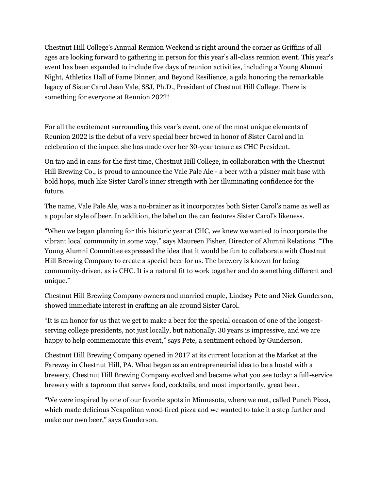Chestnut Hill College's Annual Reunion Weekend is right around the corner as Griffins of all ages are looking forward to gathering in person for this year's all-class reunion event. This year's event has been expanded to include five days of reunion activities, including a Young Alumni Night, Athletics Hall of Fame Dinner, and Beyond Resilience, a gala honoring the remarkable legacy of Sister Carol Jean Vale, SSJ, Ph.D., President of Chestnut Hill College. There is something for everyone at Reunion 2022!

For all the excitement surrounding this year's event, one of the most unique elements of Reunion 2022 is the debut of a very special beer brewed in honor of Sister Carol and in celebration of the impact she has made over her 30-year tenure as CHC President.

On tap and in cans for the first time, Chestnut Hill College, in collaboration with the Chestnut Hill Brewing Co., is proud to announce the Vale Pale Ale - a beer with a pilsner malt base with bold hops, much like Sister Carol's inner strength with her illuminating confidence for the future.

The name, Vale Pale Ale, was a no-brainer as it incorporates both Sister Carol's name as well as a popular style of beer. In addition, the label on the can features Sister Carol's likeness.

"When we began planning for this historic year at CHC, we knew we wanted to incorporate the vibrant local community in some way," says Maureen Fisher, Director of Alumni Relations. "The Young Alumni Committee expressed the idea that it would be fun to collaborate with Chestnut Hill Brewing Company to create a special beer for us. The brewery is known for being community-driven, as is CHC. It is a natural fit to work together and do something different and unique."

Chestnut Hill Brewing Company owners and married couple, Lindsey Pete and Nick Gunderson, showed immediate interest in crafting an ale around Sister Carol.

"It is an honor for us that we get to make a beer for the special occasion of one of the longestserving college presidents, not just locally, but nationally. 30 years is impressive, and we are happy to help commemorate this event," says Pete, a sentiment echoed by Gunderson.

Chestnut Hill Brewing Company opened in 2017 at its current location at the Market at the Fareway in Chestnut Hill, PA. What began as an entrepreneurial idea to be a hostel with a brewery, Chestnut Hill Brewing Company evolved and became what you see today: a full-service brewery with a taproom that serves food, cocktails, and most importantly, great beer.

"We were inspired by one of our favorite spots in Minnesota, where we met, called Punch Pizza, which made delicious Neapolitan wood-fired pizza and we wanted to take it a step further and make our own beer," says Gunderson.